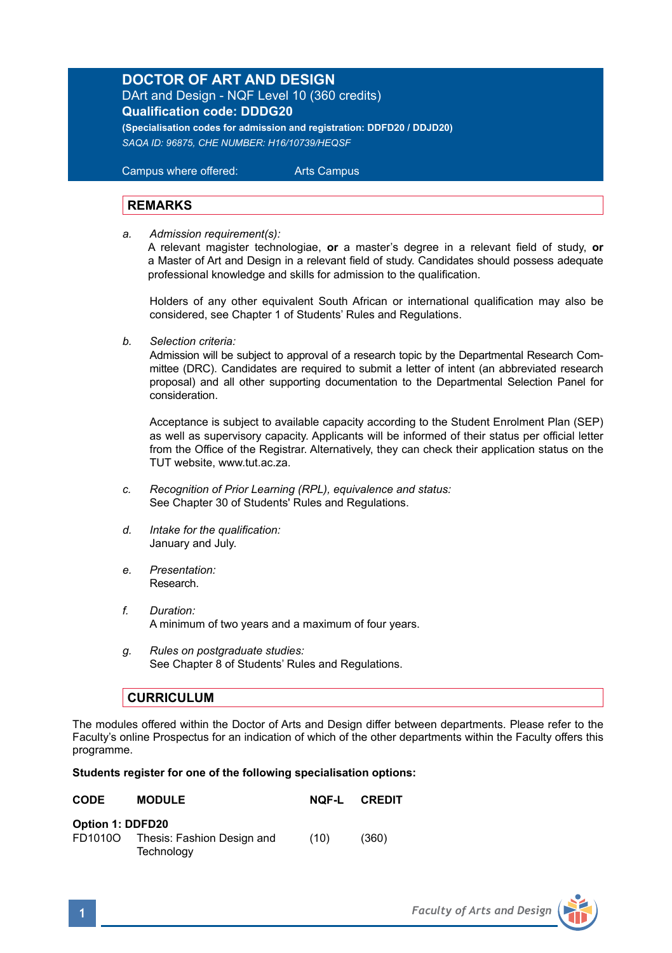## **DOCTOR OF ART AND DESIGN** DArt and Design - NQF Level 10 (360 credits)

**Qualification code: DDDG20 (Specialisation codes for admission and registration: DDFD20 / DDJD20)**

*SAQA ID: 96875, CHE NUMBER: H16/10739/HEQSF*

 Campus where offered: Arts Campus

## **REMARKS**

*a. Admission requirement(s):*

A relevant magister technologiae, **or** a master's degree in a relevant field of study, **or** a Master of Art and Design in a relevant field of study. Candidates should possess adequate professional knowledge and skills for admission to the qualification.

Holders of any other equivalent South African or international qualification may also be considered, see Chapter 1 of Students' Rules and Regulations.

*b. Selection criteria:*

Admission will be subject to approval of a research topic by the Departmental Research Committee (DRC). Candidates are required to submit a letter of intent (an abbreviated research proposal) and all other supporting documentation to the Departmental Selection Panel for consideration.

Acceptance is subject to available capacity according to the Student Enrolment Plan (SEP) as well as supervisory capacity. Applicants will be informed of their status per official letter from the Office of the Registrar. Alternatively, they can check their application status on the TUT website, www.tut.ac.za.

- *c. Recognition of Prior Learning (RPL), equivalence and status:* See Chapter 30 of Students' Rules and Regulations.
- *d. Intake for the qualification:* January and July.
- *e. Presentation:*  Research.
- *f. Duration:* A minimum of two years and a maximum of four years.
- *g. Rules on postgraduate studies:* See Chapter 8 of Students' Rules and Regulations.

## **CURRICULUM**

The modules offered within the Doctor of Arts and Design differ between departments. Please refer to the Faculty's online Prospectus for an indication of which of the other departments within the Faculty offers this programme.

## **Students register for one of the following specialisation options:**

| <b>CODE</b>      | <b>MODULE</b>                            | NQF-L | <b>CREDIT</b> |
|------------------|------------------------------------------|-------|---------------|
| Option 1: DDFD20 |                                          |       |               |
| FD1010O          | Thesis: Fashion Design and<br>Technology | (10)  | (360)         |